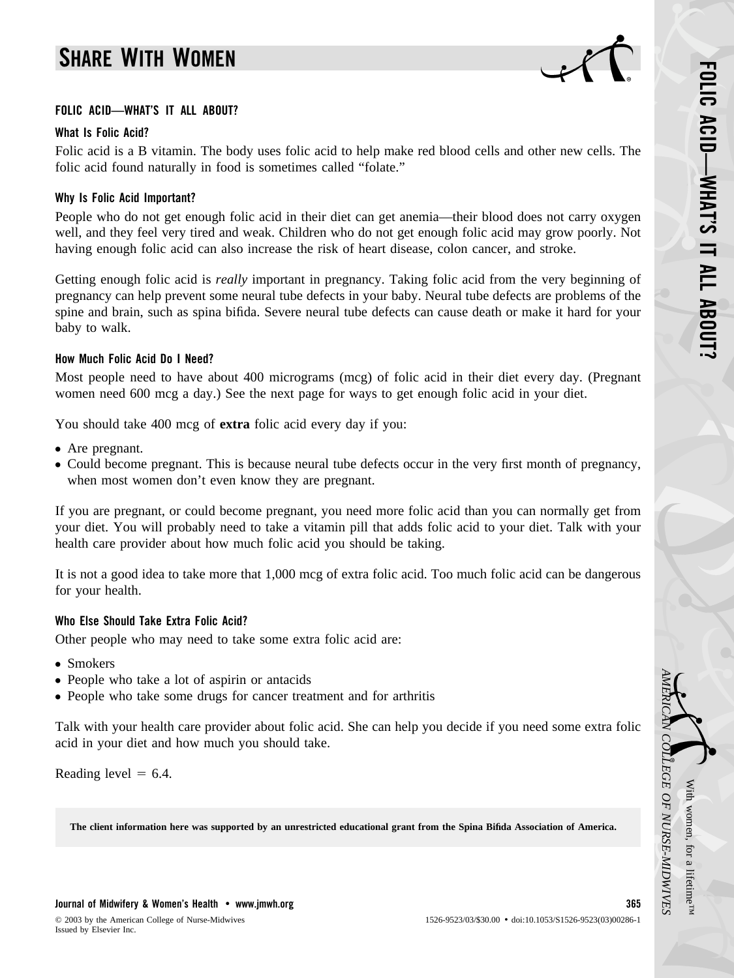# **SHARE WITH WOMEN**



#### **FOLIC ACID—WHAT'S IT ALL ABOUT?**

## **What Is Folic Acid?**

Folic acid is a B vitamin. The body uses folic acid to help make red blood cells and other new cells. The folic acid found naturally in food is sometimes called "folate."

# **Why Is Folic Acid Important?**

People who do not get enough folic acid in their diet can get anemia—their blood does not carry oxygen well, and they feel very tired and weak. Children who do not get enough folic acid may grow poorly. Not having enough folic acid can also increase the risk of heart disease, colon cancer, and stroke.

Getting enough folic acid is *really* important in pregnancy. Taking folic acid from the very beginning of pregnancy can help prevent some neural tube defects in your baby. Neural tube defects are problems of the spine and brain, such as spina bifida. Severe neural tube defects can cause death or make it hard for your baby to walk.

## **How Much Folic Acid Do I Need?**

Most people need to have about 400 micrograms (mcg) of folic acid in their diet every day. (Pregnant women need 600 mcg a day.) See the next page for ways to get enough folic acid in your diet.

You should take 400 mcg of **extra** folic acid every day if you:

- Are pregnant.
- Could become pregnant. This is because neural tube defects occur in the very first month of pregnancy, when most women don't even know they are pregnant.

If you are pregnant, or could become pregnant, you need more folic acid than you can normally get from your diet. You will probably need to take a vitamin pill that adds folic acid to your diet. Talk with your health care provider about how much folic acid you should be taking.

It is not a good idea to take more that 1,000 mcg of extra folic acid. Too much folic acid can be dangerous for your health.

#### **Who Else Should Take Extra Folic Acid?**

Other people who may need to take some extra folic acid are:

- Smokers
- People who take a lot of aspirin or antacids
- People who take some drugs for cancer treatment and for arthritis

Talk with your health care provider about folic acid. She can help you decide if you need some extra folic acid in your diet and how much you should take.

Reading level  $= 6.4$ .

**The client information here was supported by an unrestricted educational grant from the Spina Bifida Association of America.**

With

*AMERICAN*

*COLLEGE*

 *OF*

 *NURSE-MIDWIVES*

women,

for a

lifetime™